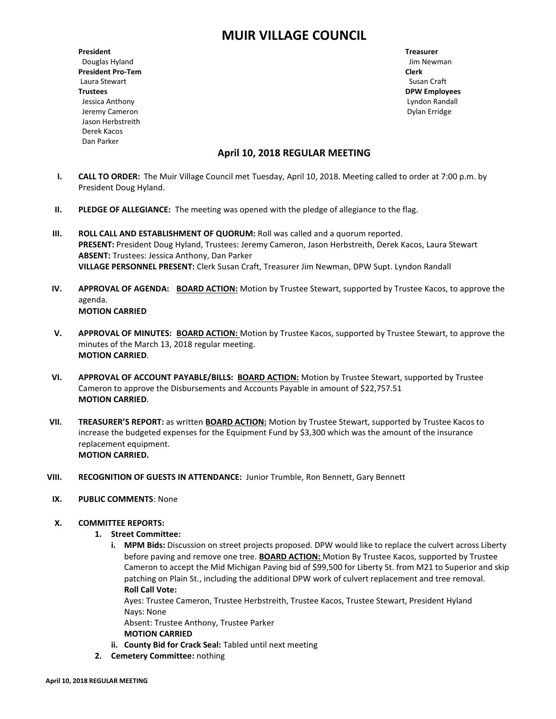# **MUIR VILLAGE COUNCIL**

**President Treasurer** Douglas Hyland **Douglas Hyland** Jim Newman **Jim Newman President Pro-Tem Clerk** Laura Stewart **Susan Craft** Susan Craft Susan Craft Susan Craft Susan Craft Susan Craft Susan Craft Susan Craft Susan Craft Susan Craft Susan Craft Susan Craft Susan Craft Susan Craft Susan Craft Susan Craft Susan Craft Su **Trustees DPW Employees** Jessica Anthony Lyndon Randall Jeremy Cameron Dylan Erridge Jason Herbstreith Derek Kacos Dan Parker

# **April 10, 2018 REGULAR MEETING**

- **I. CALL TO ORDER:** The Muir Village Council met Tuesday, April 10, 2018. Meeting called to order at 7:00 p.m. by President Doug Hyland.
- **II. PLEDGE OF ALLEGIANCE:** The meeting was opened with the pledge of allegiance to the flag.
- **III. ROLL CALL AND ESTABLISHMENT OF QUORUM:** Roll was called and a quorum reported. **PRESENT:** President Doug Hyland, Trustees: Jeremy Cameron, Jason Herbstreith, Derek Kacos, Laura Stewart **ABSENT:** Trustees: Jessica Anthony, Dan Parker **VILLAGE PERSONNEL PRESENT:** Clerk Susan Craft, Treasurer Jim Newman, DPW Supt. Lyndon Randall
- **IV. APPROVAL OF AGENDA: BOARD ACTION:** Motion by Trustee Stewart, supported by Trustee Kacos, to approve the agenda. **MOTION CARRIED**
- **V. APPROVAL OF MINUTES: BOARD ACTION:** Motion by Trustee Kacos, supported by Trustee Stewart, to approve the minutes of the March 13, 2018 regular meeting. **MOTION CARRIED**.
- **VI. APPROVAL OF ACCOUNT PAYABLE/BILLS: BOARD ACTION:** Motion by Trustee Stewart, supported by Trustee Cameron to approve the Disbursements and Accounts Payable in amount of \$22,757.51 **MOTION CARRIED**.
- **VII. TREASURER'S REPORT:** as written **BOARD ACTION:** Motion by Trustee Stewart, supported by Trustee Kacos to increase the budgeted expenses for the Equipment Fund by \$3,300 which was the amount of the insurance replacement equipment. **MOTION CARRIED.**
- **VIII. RECOGNITION OF GUESTS IN ATTENDANCE:** Junior Trumble, Ron Bennett, Gary Bennett
- **IX. PUBLIC COMMENTS**: None
- **X. COMMITTEE REPORTS:**
	- **1. Street Committee:**
		- **i. MPM Bids:** Discussion on street projects proposed. DPW would like to replace the culvert across Liberty before paving and remove one tree. **BOARD ACTION:** Motion By Trustee Kacos, supported by Trustee Cameron to accept the Mid Michigan Paving bid of \$99,500 for Liberty St. from M21 to Superior and skip patching on Plain St., including the additional DPW work of culvert replacement and tree removal. **Roll Call Vote:**

Ayes: Trustee Cameron, Trustee Herbstreith, Trustee Kacos, Trustee Stewart, President Hyland Nays: None

Absent: Trustee Anthony, Trustee Parker

- **MOTION CARRIED**
- **ii. County Bid for Crack Seal:** Tabled until next meeting
- **2. Cemetery Committee:** nothing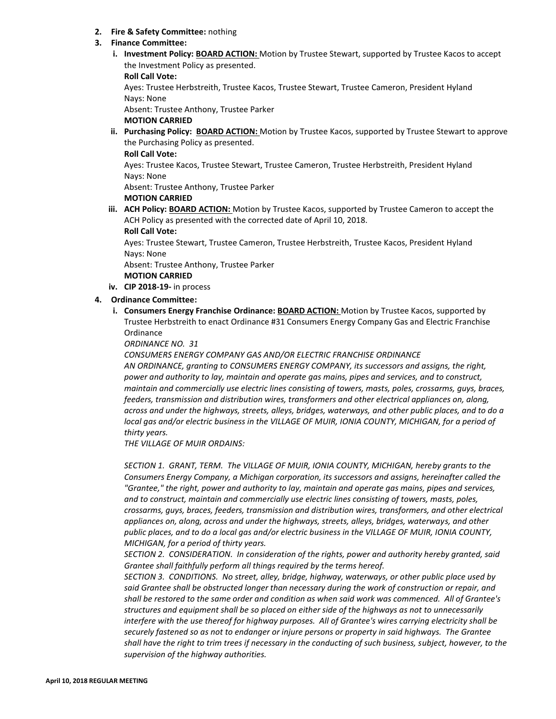## **2. Fire & Safety Committee:** nothing

## **3. Finance Committee:**

**i. Investment Policy: BOARD ACTION:** Motion by Trustee Stewart, supported by Trustee Kacos to accept the Investment Policy as presented.

**Roll Call Vote:**

Ayes: Trustee Herbstreith, Trustee Kacos, Trustee Stewart, Trustee Cameron, President Hyland Nays: None

Absent: Trustee Anthony, Trustee Parker

**MOTION CARRIED**

**ii. Purchasing Policy: BOARD ACTION:** Motion by Trustee Kacos, supported by Trustee Stewart to approve the Purchasing Policy as presented.

**Roll Call Vote:**

Ayes: Trustee Kacos, Trustee Stewart, Trustee Cameron, Trustee Herbstreith, President Hyland Nays: None

Absent: Trustee Anthony, Trustee Parker

## **MOTION CARRIED**

**iii. ACH Policy: BOARD ACTION:** Motion by Trustee Kacos, supported by Trustee Cameron to accept the ACH Policy as presented with the corrected date of April 10, 2018.

**Roll Call Vote:**

Ayes: Trustee Stewart, Trustee Cameron, Trustee Herbstreith, Trustee Kacos, President Hyland Nays: None

Absent: Trustee Anthony, Trustee Parker

## **MOTION CARRIED**

**iv. CIP 2018-19-** in process

# **4. Ordinance Committee:**

**i. Consumers Energy Franchise Ordinance: BOARD ACTION:** Motion by Trustee Kacos, supported by Trustee Herbstreith to enact Ordinance #31 Consumers Energy Company Gas and Electric Franchise **Ordinance** 

*ORDINANCE NO. 31*

*CONSUMERS ENERGY COMPANY GAS AND/OR ELECTRIC FRANCHISE ORDINANCE AN ORDINANCE, granting to CONSUMERS ENERGY COMPANY, its successors and assigns, the right, power and authority to lay, maintain and operate gas mains, pipes and services, and to construct, maintain and commercially use electric lines consisting of towers, masts, poles, crossarms, guys, braces, feeders, transmission and distribution wires, transformers and other electrical appliances on, along, across and under the highways, streets, alleys, bridges, waterways, and other public places, and to do a*  local gas and/or electric business in the VILLAGE OF MUIR, IONIA COUNTY, MICHIGAN, for a period of *thirty years.*

*THE VILLAGE OF MUIR ORDAINS:*

*SECTION 1. GRANT, TERM. The VILLAGE OF MUIR, IONIA COUNTY, MICHIGAN, hereby grants to the Consumers Energy Company, a Michigan corporation, its successors and assigns, hereinafter called the "Grantee," the right, power and authority to lay, maintain and operate gas mains, pipes and services, and to construct, maintain and commercially use electric lines consisting of towers, masts, poles, crossarms, guys, braces, feeders, transmission and distribution wires, transformers, and other electrical appliances on, along, across and under the highways, streets, alleys, bridges, waterways, and other public places, and to do a local gas and/or electric business in the VILLAGE OF MUIR, IONIA COUNTY, MICHIGAN, for a period of thirty years.*

*SECTION 2. CONSIDERATION. In consideration of the rights, power and authority hereby granted, said Grantee shall faithfully perform all things required by the terms hereof.*

*SECTION 3. CONDITIONS. No street, alley, bridge, highway, waterways, or other public place used by said Grantee shall be obstructed longer than necessary during the work of construction or repair, and shall be restored to the same order and condition as when said work was commenced. All of Grantee's structures and equipment shall be so placed on either side of the highways as not to unnecessarily interfere with the use thereof for highway purposes. All of Grantee's wires carrying electricity shall be securely fastened so as not to endanger or injure persons or property in said highways. The Grantee shall have the right to trim trees if necessary in the conducting of such business, subject, however, to the supervision of the highway authorities.*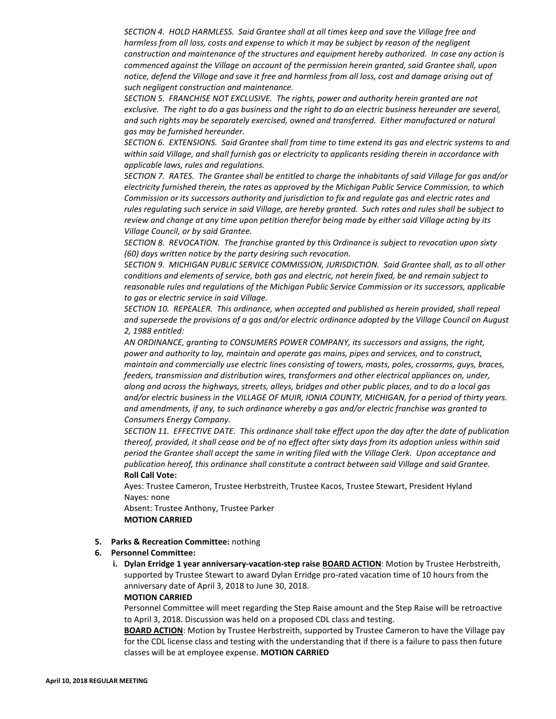*SECTION 4. HOLD HARMLESS. Said Grantee shall at all times keep and save the Village free and harmless from all loss, costs and expense to which it may be subject by reason of the negligent construction and maintenance of the structures and equipment hereby authorized. In case any action is commenced against the Village on account of the permission herein granted, said Grantee shall, upon notice, defend the Village and save it free and harmless from all loss, cost and damage arising out of such negligent construction and maintenance.*

*SECTION 5. FRANCHISE NOT EXCLUSIVE. The rights, power and authority herein granted are not exclusive. The right to do a gas business and the right to do an electric business hereunder are several, and such rights may be separately exercised, owned and transferred. Either manufactured or natural gas may be furnished hereunder.*

*SECTION 6. EXTENSIONS. Said Grantee shall from time to time extend its gas and electric systems to and within said Village, and shall furnish gas or electricity to applicants residing therein in accordance with applicable laws, rules and regulations.*

*SECTION 7. RATES. The Grantee shall be entitled to charge the inhabitants of said Village for gas and/or electricity furnished therein, the rates as approved by the Michigan Public Service Commission, to which Commission or its successors authority and jurisdiction to fix and regulate gas and electric rates and rules regulating such service in said Village, are hereby granted. Such rates and rules shall be subject to review and change at any time upon petition therefor being made by either said Village acting by its Village Council, or by said Grantee.*

*SECTION 8. REVOCATION. The franchise granted by this Ordinance is subject to revocation upon sixty (60) days written notice by the party desiring such revocation.*

*SECTION 9. MICHIGAN PUBLIC SERVICE COMMISSION, JURISDICTION. Said Grantee shall, as to all other conditions and elements of service, both gas and electric, not herein fixed, be and remain subject to reasonable rules and regulations of the Michigan Public Service Commission or its successors, applicable to gas or electric service in said Village.*

*SECTION 10. REPEALER. This ordinance, when accepted and published as herein provided, shall repeal and supersede the provisions of a gas and/or electric ordinance adopted by the Village Council on August 2, 1988 entitled:*

*AN ORDINANCE, granting to CONSUMERS POWER COMPANY, its successors and assigns, the right, power and authority to lay, maintain and operate gas mains, pipes and services, and to construct, maintain and commercially use electric lines consisting of towers, masts, poles, crossarms, guys, braces, feeders, transmission and distribution wires, transformers and other electrical appliances on, under, along and across the highways, streets, alleys, bridges and other public places, and to do a local gas and/or electric business in the VILLAGE OF MUIR, IONIA COUNTY, MICHIGAN, for a period of thirty years. and amendments, if any, to such ordinance whereby a gas and/or electric franchise was granted to Consumers Energy Company.*

*SECTION 11. EFFECTIVE DATE. This ordinance shall take effect upon the day after the date of publication thereof, provided, it shall cease and be of no effect after sixty days from its adoption unless within said period the Grantee shall accept the same in writing filed with the Village Clerk. Upon acceptance and publication hereof, this ordinance shall constitute a contract between said Village and said Grantee.* **Roll Call Vote:**

Ayes: Trustee Cameron, Trustee Herbstreith, Trustee Kacos, Trustee Stewart, President Hyland Nayes: none

Absent: Trustee Anthony, Trustee Parker **MOTION CARRIED**

#### **5. Parks & Recreation Committee:** nothing

#### **6. Personnel Committee:**

**i. Dylan Erridge 1 year anniversary-vacation-step raise BOARD ACTION**: Motion by Trustee Herbstreith, supported by Trustee Stewart to award Dylan Erridge pro-rated vacation time of 10 hours from the anniversary date of April 3, 2018 to June 30, 2018.

## **MOTION CARRIED**

Personnel Committee will meet regarding the Step Raise amount and the Step Raise will be retroactive to April 3, 2018. Discussion was held on a proposed CDL class and testing.

**BOARD ACTION**: Motion by Trustee Herbstreith, supported by Trustee Cameron to have the Village pay for the CDL license class and testing with the understanding that if there is a failure to pass then future classes will be at employee expense. **MOTION CARRIED**